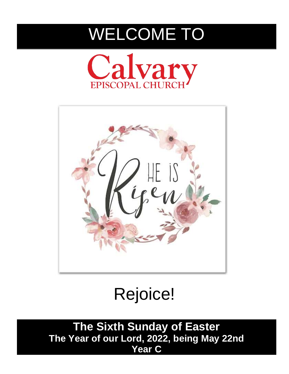# WELCOME TO





Rejoice!

**The Sixth Sunday of Easter The Year of our Lord, 2022, being May 22nd Year C**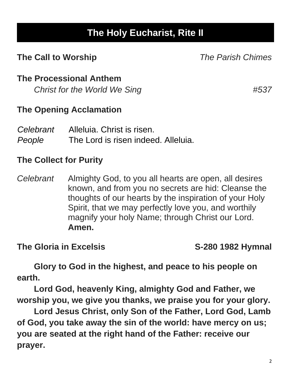# **The Holy Eucharist, Rite II**

# **The Call to Worship** *The Parish Chimes*

# **The Processional Anthem**

*Christ for the World We Sing #537*

# **The Opening Acclamation**

| Celebrant | Alleluia. Christ is risen.          |
|-----------|-------------------------------------|
| People    | The Lord is risen indeed. Alleluia. |

# **The Collect for Purity**

*Celebrant* Almighty God, to you all hearts are open, all desires known, and from you no secrets are hid: Cleanse the thoughts of our hearts by the inspiration of your Holy Spirit, that we may perfectly love you, and worthily magnify your holy Name; through Christ our Lord. **Amen.**

**The Gloria in Excelsis S-280 1982 Hymnal**

**Glory to God in the highest, and peace to his people on earth.**

**Lord God, heavenly King, almighty God and Father, we worship you, we give you thanks, we praise you for your glory.**

**Lord Jesus Christ, only Son of the Father, Lord God, Lamb of God, you take away the sin of the world: have mercy on us; you are seated at the right hand of the Father: receive our prayer.**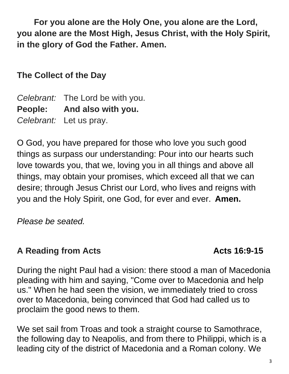**For you alone are the Holy One, you alone are the Lord, you alone are the Most High, Jesus Christ, with the Holy Spirit, in the glory of God the Father. Amen.**

**The Collect of the Day**

*Celebrant:* The Lord be with you. **People: And also with you.** *Celebrant:* Let us pray.

O God, you have prepared for those who love you such good things as surpass our understanding: Pour into our hearts such love towards you, that we, loving you in all things and above all things, may obtain your promises, which exceed all that we can desire; through Jesus Christ our Lord, who lives and reigns with you and the Holy Spirit, one God, for ever and ever. **Amen.**

*Please be seated.*

# A Reading from Acts **ACTS ACTS ACTS** 16:9-15

During the night Paul had a vision: there stood a man of Macedonia pleading with him and saying, "Come over to Macedonia and help us." When he had seen the vision, we immediately tried to cross over to Macedonia, being convinced that God had called us to proclaim the good news to them.

We set sail from Troas and took a straight course to Samothrace, the following day to Neapolis, and from there to Philippi, which is a leading city of the district of Macedonia and a Roman colony. We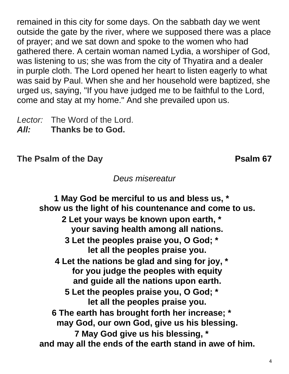remained in this city for some days. On the sabbath day we went outside the gate by the river, where we supposed there was a place of prayer; and we sat down and spoke to the women who had gathered there. A certain woman named Lydia, a worshiper of God, was listening to us; she was from the city of Thyatira and a dealer in purple cloth. The Lord opened her heart to listen eagerly to what was said by Paul. When she and her household were baptized, she urged us, saying, "If you have judged me to be faithful to the Lord, come and stay at my home." And she prevailed upon us.

*Lector:* The Word of the Lord. *All:* **Thanks be to God.**

**The Psalm of the Day Psalm 67** 

*Deus misereatur*

**1 May God be merciful to us and bless us, \* show us the light of his countenance and come to us. 2 Let your ways be known upon earth, \* your saving health among all nations. 3 Let the peoples praise you, O God; \* let all the peoples praise you. 4 Let the nations be glad and sing for joy, \* for you judge the peoples with equity and guide all the nations upon earth. 5 Let the peoples praise you, O God; \* let all the peoples praise you. 6 The earth has brought forth her increase; \* may God, our own God, give us his blessing. 7 May God give us his blessing, \* and may all the ends of the earth stand in awe of him.**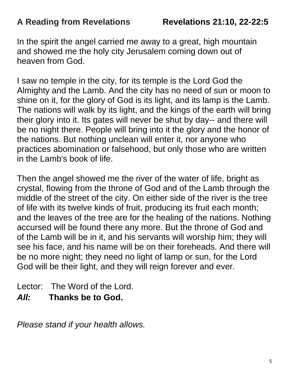# **A Reading from Revelations Revelations 21:10, 22-22:5**

In the spirit the angel carried me away to a great, high mountain and showed me the holy city Jerusalem coming down out of heaven from God.

I saw no temple in the city, for its temple is the Lord God the Almighty and the Lamb. And the city has no need of sun or moon to shine on it, for the glory of God is its light, and its lamp is the Lamb. The nations will walk by its light, and the kings of the earth will bring their glory into it. Its gates will never be shut by day-- and there will be no night there. People will bring into it the glory and the honor of the nations. But nothing unclean will enter it, nor anyone who practices abomination or falsehood, but only those who are written in the Lamb's book of life.

Then the angel showed me the river of the water of life, bright as crystal, flowing from the throne of God and of the Lamb through the middle of the street of the city. On either side of the river is the tree of life with its twelve kinds of fruit, producing its fruit each month; and the leaves of the tree are for the healing of the nations. Nothing accursed will be found there any more. But the throne of God and of the Lamb will be in it, and his servants will worship him; they will see his face, and his name will be on their foreheads. And there will be no more night; they need no light of lamp or sun, for the Lord God will be their light, and they will reign forever and ever.

Lector: The Word of the Lord.

*All:* **Thanks be to God.**

*Please stand if your health allows.*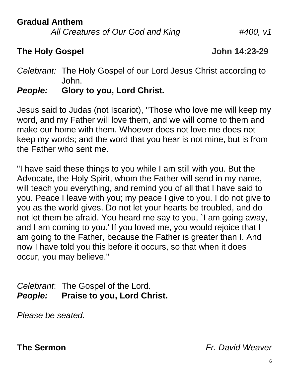**Gradual Anthem**

*All Creatures of Our God and King #400, v1*

# **The Holy Gospel John 14:23-29**

*Celebrant:* The Holy Gospel of our Lord Jesus Christ according to John.

# *People:* **Glory to you, Lord Christ***.*

Jesus said to Judas (not Iscariot), "Those who love me will keep my word, and my Father will love them, and we will come to them and make our home with them. Whoever does not love me does not keep my words; and the word that you hear is not mine, but is from the Father who sent me.

"I have said these things to you while I am still with you. But the Advocate, the Holy Spirit, whom the Father will send in my name, will teach you everything, and remind you of all that I have said to you. Peace I leave with you; my peace I give to you. I do not give to you as the world gives. Do not let your hearts be troubled, and do not let them be afraid. You heard me say to you, `I am going away, and I am coming to you.' If you loved me, you would rejoice that I am going to the Father, because the Father is greater than I. And now I have told you this before it occurs, so that when it does occur, you may believe."

*Celebrant*: The Gospel of the Lord. *People:* **Praise to you, Lord Christ.**

*Please be seated.*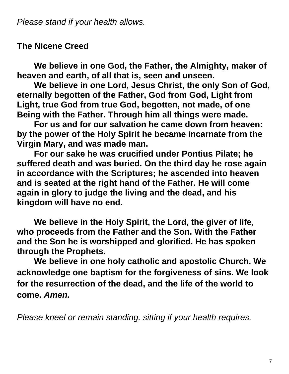# **The Nicene Creed**

**We believe in one God, the Father, the Almighty, maker of heaven and earth, of all that is, seen and unseen.** 

**We believe in one Lord, Jesus Christ, the only Son of God, eternally begotten of the Father, God from God, Light from Light, true God from true God, begotten, not made, of one Being with the Father. Through him all things were made.**

**For us and for our salvation he came down from heaven: by the power of the Holy Spirit he became incarnate from the Virgin Mary, and was made man.** 

**For our sake he was crucified under Pontius Pilate; he suffered death and was buried. On the third day he rose again in accordance with the Scriptures; he ascended into heaven and is seated at the right hand of the Father. He will come again in glory to judge the living and the dead, and his kingdom will have no end.**

**We believe in the Holy Spirit, the Lord, the giver of life, who proceeds from the Father and the Son. With the Father and the Son he is worshipped and glorified. He has spoken through the Prophets.** 

**We believe in one holy catholic and apostolic Church. We acknowledge one baptism for the forgiveness of sins. We look for the resurrection of the dead, and the life of the world to come.** *Amen.*

*Please kneel or remain standing, sitting if your health requires.*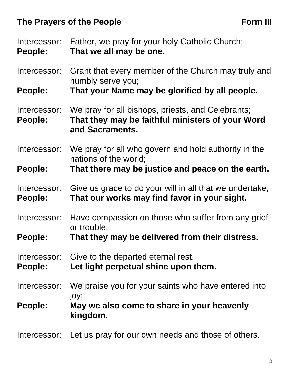# The Prayers of the People **Form III**

| Intercessor:<br>People:        | Father, we pray for your holy Catholic Church;<br>That we all may be one.                                                |  |  |  |
|--------------------------------|--------------------------------------------------------------------------------------------------------------------------|--|--|--|
| Intercessor:                   | Grant that every member of the Church may truly and<br>humbly serve you;                                                 |  |  |  |
| People:                        | That your Name may be glorified by all people.                                                                           |  |  |  |
| Intercessor:<br>People:        | We pray for all bishops, priests, and Celebrants;<br>That they may be faithful ministers of your Word<br>and Sacraments. |  |  |  |
| Intercessor:                   | We pray for all who govern and hold authority in the<br>nations of the world;                                            |  |  |  |
| People:                        | That there may be justice and peace on the earth.                                                                        |  |  |  |
| Intercessor:<br>People:        | Give us grace to do your will in all that we undertake;<br>That our works may find favor in your sight.                  |  |  |  |
| Intercessor:                   | Have compassion on those who suffer from any grief<br>or trouble;                                                        |  |  |  |
| People:                        | That they may be delivered from their distress.                                                                          |  |  |  |
| Intercessor:<br><b>People:</b> | Give to the departed eternal rest.<br>Let light perpetual shine upon them.                                               |  |  |  |
| Intercessor:                   | We praise you for your saints who have entered into                                                                      |  |  |  |
| People:                        | joy;<br>May we also come to share in your heavenly<br>kingdom.                                                           |  |  |  |
| Intercessor:                   | Let us pray for our own needs and those of others.                                                                       |  |  |  |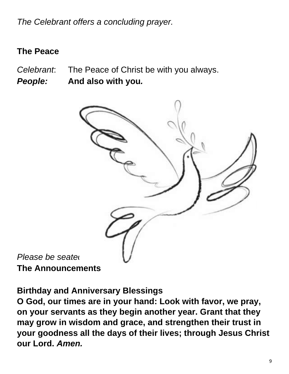*The Celebrant offers a concluding prayer.*

# **The Peace**

- *Celebrant*: The Peace of Christ be with you always.
- *People:* **And also with you***.*



*Please be seated.* **The Announcements**

**Birthday and Anniversary Blessings**

**O God, our times are in your hand: Look with favor, we pray, on your servants as they begin another year. Grant that they may grow in wisdom and grace, and strengthen their trust in your goodness all the days of their lives; through Jesus Christ our Lord.** *Amen.*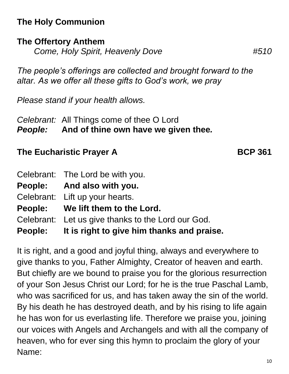# **The Holy Communion**

# **The Offertory Anthem**

*Come, Holy Spirit, Heavenly Dove #510*

*The people's offerings are collected and brought forward to the altar. As we offer all these gifts to God's work, we pray*

*Please stand if your health allows.*

*Celebrant:* All Things come of thee O Lord *People:* **And of thine own have we given thee***.*

# **The Eucharistic Prayer A BCP 361**

| Celebrant: The Lord be with you.                   |
|----------------------------------------------------|
| People: And also with you.                         |
| Celebrant: Lift up your hearts.                    |
| People: We lift them to the Lord.                  |
| Celebrant: Let us give thanks to the Lord our God. |
| People: It is right to give him thanks and praise. |

It is right, and a good and joyful thing, always and everywhere to give thanks to you, Father Almighty, Creator of heaven and earth. But chiefly are we bound to praise you for the glorious resurrection of your Son Jesus Christ our Lord; for he is the true Paschal Lamb, who was sacrificed for us, and has taken away the sin of the world. By his death he has destroyed death, and by his rising to life again he has won for us everlasting life. Therefore we praise you, joining our voices with Angels and Archangels and with all the company of heaven, who for ever sing this hymn to proclaim the glory of your Name: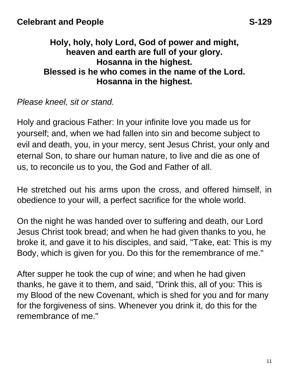# **Holy, holy, holy Lord, God of power and might, heaven and earth are full of your glory. Hosanna in the highest. Blessed is he who comes in the name of the Lord. Hosanna in the highest.**

*Please kneel, sit or stand.*

Holy and gracious Father: In your infinite love you made us for yourself; and, when we had fallen into sin and become subject to evil and death, you, in your mercy, sent Jesus Christ, your only and eternal Son, to share our human nature, to live and die as one of us, to reconcile us to you, the God and Father of all.

He stretched out his arms upon the cross, and offered himself, in obedience to your will, a perfect sacrifice for the whole world.

On the night he was handed over to suffering and death, our Lord Jesus Christ took bread; and when he had given thanks to you, he broke it, and gave it to his disciples, and said, "Take, eat: This is my Body, which is given for you. Do this for the remembrance of me."

After supper he took the cup of wine; and when he had given thanks, he gave it to them, and said, "Drink this, all of you: This is my Blood of the new Covenant, which is shed for you and for many for the forgiveness of sins. Whenever you drink it, do this for the remembrance of me."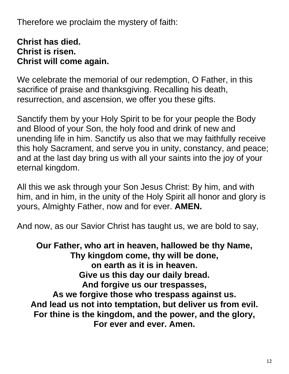Therefore we proclaim the mystery of faith:

# **Christ has died. Christ is risen. Christ will come again.**

We celebrate the memorial of our redemption, O Father, in this sacrifice of praise and thanksgiving. Recalling his death, resurrection, and ascension, we offer you these gifts.

Sanctify them by your Holy Spirit to be for your people the Body and Blood of your Son, the holy food and drink of new and unending life in him. Sanctify us also that we may faithfully receive this holy Sacrament, and serve you in unity, constancy, and peace; and at the last day bring us with all your saints into the joy of your eternal kingdom.

All this we ask through your Son Jesus Christ: By him, and with him, and in him, in the unity of the Holy Spirit all honor and glory is yours, Almighty Father, now and for ever. **AMEN.**

And now, as our Savior Christ has taught us, we are bold to say,

**Our Father, who art in heaven, hallowed be thy Name, Thy kingdom come, thy will be done, on earth as it is in heaven. Give us this day our daily bread. And forgive us our trespasses, As we forgive those who trespass against us. And lead us not into temptation, but deliver us from evil. For thine is the kingdom, and the power, and the glory, For ever and ever. Amen.**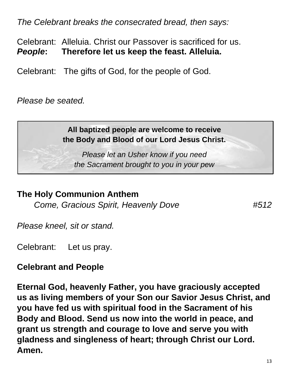*The Celebrant breaks the consecrated bread, then says:*

Celebrant: Alleluia. Christ our Passover is sacrificed for us. *People***: Therefore let us keep the feast. Alleluia.**

Celebrant: The gifts of God, for the people of God.

*Please be seated.*

# **All baptized people are welcome to receive the Body and Blood of our Lord Jesus Christ.**

*Please let an Usher know if you need the Sacrament brought to you in your pew*

# **The Holy Communion Anthem**

*Come, Gracious Spirit, Heavenly Dove #512*

*Please kneel, sit or stand.*

Celebrant: Let us pray.

# **Celebrant and People**

**Eternal God, heavenly Father, you have graciously accepted us as living members of your Son our Savior Jesus Christ, and you have fed us with spiritual food in the Sacrament of his Body and Blood. Send us now into the world in peace, and grant us strength and courage to love and serve you with gladness and singleness of heart; through Christ our Lord. Amen.**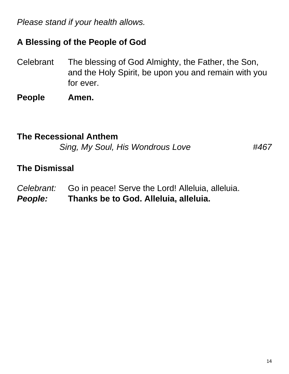*Please stand if your health allows.*

# **A Blessing of the People of God**

- Celebrant The blessing of God Almighty, the Father, the Son, and the Holy Spirit, be upon you and remain with you for ever.
- **People Amen.**

# **The Recessional Anthem**

*Sing, My Soul, His Wondrous Love #467*

### **The Dismissal**

*Celebrant:* Go in peace! Serve the Lord! Alleluia, alleluia. *People:* **Thanks be to God. Alleluia, alleluia.**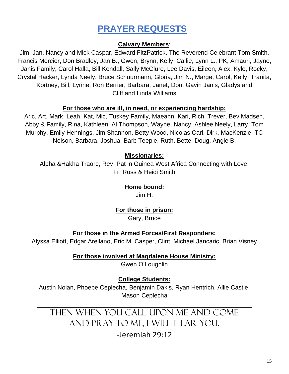# **PRAYER REQUESTS**

#### **Calvary Members**:

Jim, Jan, Nancy and Mick Caspar, Edward FitzPatrick, The Reverend Celebrant Tom Smith, Francis Mercier, Don Bradley, Jan B., Gwen, Brynn, Kelly, Callie, Lynn L., PK, Amauri, Jayne, Janis Family, Carol Halla, Bill Kendall, Sally McClure, Lee Davis, Eileen, Alex, Kyle, Rocky, Crystal Hacker, Lynda Neely, Bruce Schuurmann, Gloria, Jim N., Marge, Carol, Kelly, Tranita, Kortney, Bill, Lynne, Ron Berrier, Barbara, Janet, Don, Gavin Janis, Gladys and Cliff and Linda Williams

#### **For those who are ill, in need, or experiencing hardship:**

Aric, Art, Mark, Leah, Kat, Mic, Tuskey Family, Maeann, Kari, Rich, Trever, Bev Madsen, Abby & Family, Rina, Kathleen, Al Thompson, Wayne, Nancy, Ashlee Neely, Larry, Tom Murphy, Emily Hennings, Jim Shannon, Betty Wood, Nicolas Carl, Dirk, MacKenzie, TC Nelson, Barbara, Joshua, Barb Teeple, Ruth, Bette, Doug, Angie B.

#### **Missionaries:**

Alpha &Hakha Traore, Rev. Pat in Guinea West Africa Connecting with Love, Fr. Russ & Heidi Smith

### **Home bound:**

Jim H.

#### **For those in prison:**

Gary, Bruce

#### **For those in the Armed Forces/First Responders:**

Alyssa Elliott, Edgar Arellano, Eric M. Casper, Clint, Michael Jancaric, Brian Visney

#### **For those involved at Magdalene House Ministry:**

Gwen O'Loughlin

#### **College Students:**

Austin Nolan, Phoebe Ceplecha, Benjamin Dakis, Ryan Hentrich, Allie Castle, Mason Ceplecha

# Then when you call upon me and come and pray to me, I will hear you. -Jeremiah 29:12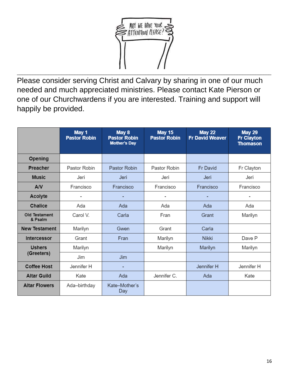

Please consider serving Christ and Calvary by sharing in one of our much needed and much appreciated ministries. Please contact Kate Pierson or one of our Churchwardens if you are interested. Training and support will happily be provided.

|                                  | May 1<br><b>Pastor Robin</b> | May 8<br><b>Pastor Robin</b><br><b>Mother's Day</b> | <b>May 15</b><br><b>Pastor Robin</b> | <b>May 22</b><br><b>Fr David Weaver</b> | <b>May 29</b><br><b>Fr Clayton</b><br><b>Thomason</b> |
|----------------------------------|------------------------------|-----------------------------------------------------|--------------------------------------|-----------------------------------------|-------------------------------------------------------|
| Opening                          |                              |                                                     |                                      |                                         |                                                       |
| Preacher                         | Pastor Robin                 | Pastor Robin                                        | Pastor Robin                         | <b>Fr David</b>                         | Fr Clayton                                            |
| <b>Music</b><br>Jeri             |                              | Jeri                                                | Jeri                                 | Jeri                                    | Jeri                                                  |
| AV<br>Francisco                  |                              | Francisco                                           | Francisco                            | Francisco                               | Francisco                                             |
| Acolyte                          |                              |                                                     |                                      |                                         | $\overline{\phantom{a}}$                              |
| Chalice                          | Ada                          | Ada                                                 | Ada                                  | Ada                                     | Ada                                                   |
| Old Testament<br>& Psalm         | Carol V.                     | Carla                                               | Fran                                 | Grant                                   | Marilyn                                               |
| <b>New Testament</b><br>Marilyn  |                              | Gwen                                                | Grant                                | Carla                                   |                                                       |
| Intercessor                      | Grant                        | Fran                                                | Marilyn                              | <b>Nikki</b>                            | Dave P                                                |
| <b>Ushers</b><br>(Greeters)      | Marilyn                      |                                                     | Marilyn                              | Marilyn                                 | Marilyn                                               |
|                                  | Jim                          | Jim                                                 |                                      |                                         |                                                       |
| <b>Coffee Host</b><br>Jennifer H |                              |                                                     |                                      | Jennifer H                              | Jennifer H                                            |
| <b>Altar Guild</b>               | Kate                         | Ada                                                 | Jennifer C.                          | Ada                                     | Kate                                                  |
| <b>Altar Flowers</b>             | Ada-birthday                 | Kate-Mother's<br>Day                                |                                      |                                         |                                                       |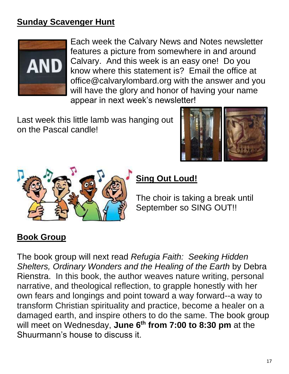# **Sunday Scavenger Hunt**



Each week the Calvary News and Notes newsletter features a picture from somewhere in and around Calvary. And this week is an easy one! Do you know where this statement is? Email the office at office@calvarylombard.org with the answer and you will have the glory and honor of having your name appear in next week's newsletter!

Last week this little lamb was hanging out on the Pascal candle!





# **Sing Out Loud!**

The choir is taking a break until September so SING OUT!!

# **Book Group**

The book group will next read *Refugia Faith: Seeking Hidden Shelters, Ordinary Wonders and the Healing of the Earth* by Debra Rienstra. In this book, the author weaves nature writing, personal narrative, and theological reflection, to grapple honestly with her own fears and longings and point toward a way forward--a way to transform Christian spirituality and practice, become a healer on a damaged earth, and inspire others to do the same. The book group will meet on Wednesday, **June 6 th from 7:00 to 8:30 pm** at the Shuurmann's house to discuss it.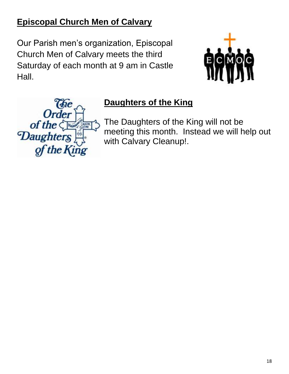# **Episcopal Church Men of Calvary**

Our Parish men's organization, Episcopal Church Men of Calvary meets the third Saturday of each month at 9 am in Castle Hall.





# **Daughters of the King**

The Daughters of the King will not be meeting this month. Instead we will help out with Calvary Cleanup!.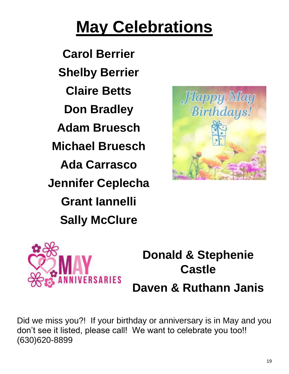# **May Celebrations**

**Carol Berrier Shelby Berrier Claire Betts Don Bradley Adam Bruesch Michael Bruesch Ada Carrasco Jennifer Ceplecha Grant Iannelli Sally McClure**





# **Donald & Stephenie Castle Daven & Ruthann Janis**

Did we miss you?! If your birthday or anniversary is in May and you don't see it listed, please call! We want to celebrate you too!! (630)620-8899